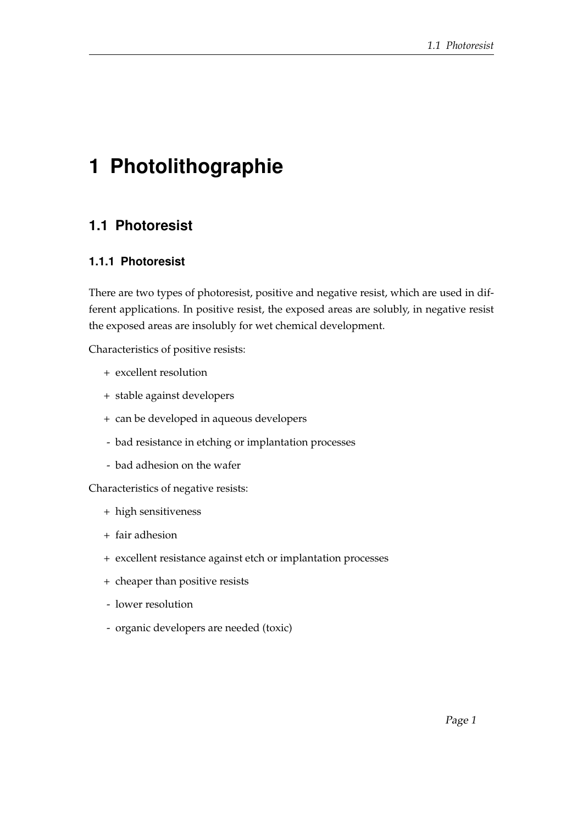## **1 Photolithographie**

## **1.1 Photoresist**

## **1.1.1 Photoresist**

There are two types of photoresist, positive and negative resist, which are used in different applications. In positive resist, the exposed areas are solubly, in negative resist the exposed areas are insolubly for wet chemical development.

Characteristics of positive resists:

- + excellent resolution
- + stable against developers
- + can be developed in aqueous developers
- bad resistance in etching or implantation processes
- bad adhesion on the wafer

Characteristics of negative resists:

- + high sensitiveness
- + fair adhesion
- + excellent resistance against etch or implantation processes
- + cheaper than positive resists
- lower resolution
- organic developers are needed (toxic)